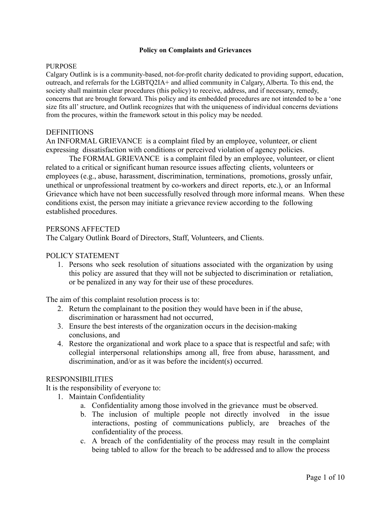#### **Policy on Complaints and Grievances**

#### PURPOSE.

Calgary Outlink is is a community-based, not-for-profit charity dedicated to providing support, education, outreach, and referrals for the LGBTQ2IA+ and allied community in Calgary, Alberta. To this end, the society shall maintain clear procedures (this policy) to receive, address, and if necessary, remedy, concerns that are brought forward. This policy and its embedded procedures are not intended to be a 'one size fits all'structure, and Outlink recognizes that with the uniqueness of individual concerns deviations from the procures, within the framework setout in this policy may be needed.

#### **DEFINITIONS**

An INFORMAL GRIEVANCE is a complaint filed by an employee, volunteer, or client expressing dissatisfaction with conditions or perceived violation of agency policies.

The FORMAL GRIEVANCE is a complaint filed by an employee, volunteer, or client related to a critical or significant human resource issues affecting clients, volunteers or employees (e.g., abuse, harassment, discrimination, terminations, promotions, grossly unfair, unethical or unprofessional treatment by co-workers and direct reports, etc.), or an Informal Grievance which have not been successfully resolved through more informal means. When these conditions exist, the person may initiate a grievance review according to the following established procedures.

#### PERSONS AFFECTED

The Calgary Outlink Board of Directors, Staff, Volunteers, and Clients.

#### POLICY STATEMENT

1. Persons who seek resolution of situations associated with the organization by using this policy are assured that they will not be subjected to discrimination or retaliation, or be penalized in any way for their use of these procedures.

The aim of this complaint resolution process is to:

- 2. Return the complainant to the position they would have been in if the abuse, discrimination or harassment had not occurred,
- 3. Ensure the best interests of the organization occurs in the decision-making conclusions, and
- 4. Restore the organizational and work place to a space that is respectful and safe; with collegial interpersonal relationships among all, free from abuse, harassment, and discrimination, and/or as it was before the incident(s) occurred.

#### RESPONSIBILITIES

It is the responsibility of everyone to:

- 1. Maintain Confidentiality
	- a. Confidentiality among those involved in the grievance must be observed.
	- b. The inclusion of multiple people not directly involved in the issue interactions, posting of communications publicly, are breaches of the confidentiality of the process.
	- c. A breach of the confidentiality of the process may result in the complaint being tabled to allow for the breach to be addressed and to allow the process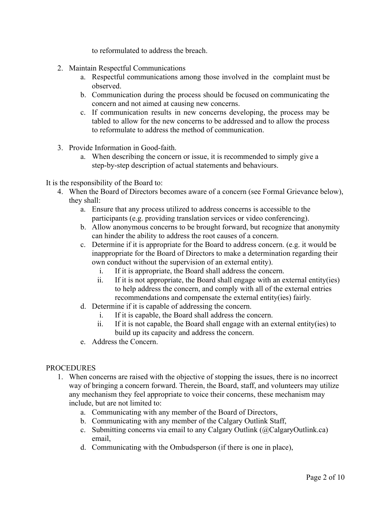to reformulated to address the breach.

- 2. Maintain Respectful Communications
	- a. Respectful communications among those involved in the complaint must be observed.
	- b. Communication during the process should be focused on communicating the concern and not aimed at causing new concerns.
	- c. If communication results in new concerns developing, the process may be tabled to allow for the new concerns to be addressed and to allow the process to reformulate to address the method of communication.
- 3. Provide Information in Good-faith.
	- a. When describing the concern or issue, it is recommended to simply give a step-by-step description of actual statements and behaviours.

It is the responsibility of the Board to:

- 4. When the Board of Directors becomes aware of a concern (see Formal Grievance below), they shall:
	- a. Ensure that any process utilized to address concerns is accessible to the participants (e.g. providing translation services or video conferencing).
	- b. Allow anonymous concerns to be brought forward, but recognize that anonymity can hinder the ability to address the root causes of a concern.
	- c. Determine if it is appropriate for the Board to address concern. (e.g. it would be inappropriate for the Board of Directors to make a determination regarding their own conduct without the supervision of an external entity).
		- i. If it is appropriate, the Board shall address the concern.
		- ii. If it is not appropriate, the Board shall engage with an external entity(ies) to help address the concern, and comply with all of the external entries recommendations and compensate the external entity(ies) fairly.
	- d. Determine if it is capable of addressing the concern.
		- i. If it is capable, the Board shall address the concern.
		- ii. If it is not capable, the Board shall engage with an external entity(ies) to build up its capacity and address the concern.
	- e. Address the Concern.

### **PROCEDURES**

- 1. When concerns are raised with the objective of stopping the issues, there is no incorrect way of bringing a concern forward. Therein, the Board, staff, and volunteers may utilize any mechanism they feel appropriate to voice their concerns, these mechanism may include, but are not limited to:
	- a. Communicating with any member of the Board of Directors,
	- b. Communicating with any member of the Calgary Outlink Staff,
	- c. Submitting concerns via email to any Calgary Outlink (@CalgaryOutlink.ca) email,
	- d. Communicating with the Ombudsperson (if there is one in place),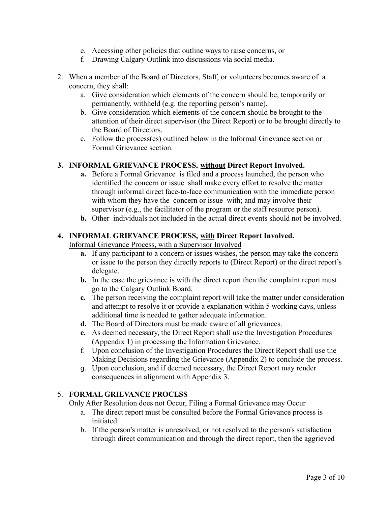- e. Accessing other policies that outline ways to raise concerns, or
- f. Drawing Calgary Outlink into discussions via social media.
- 2. When a member of the Board of Directors, Staff, or volunteers becomes aware of a concern, they shall:
	- a. Give consideration which elements of the concern should be, temporarily or permanently, withheld (e.g. the reporting person's name).
	- b. Give consideration which elements of the concern should be brought to the attention of their direct supervisor (the Direct Report) or to be brought directly to the Board of Directors.
	- c. Follow the process(es) outlined below in the Informal Grievance section or Formal Grievance section.

# **3. INFORMAL GRIEVANCE PROCESS, without Direct Report Involved.**

- **a.** Before a Formal Grievance is filed and a process launched, the person who identified the concern or issue shall make every effort to resolve the matter through informal direct face-to-face communication with the immediate person with whom they have the concern or issue with; and may involve their supervisor (e.g., the facilitator of the program or the staff resource person).
- **b.** Other individuals not included in the actual direct events should not be involved.

## **4. INFORMAL GRIEVANCE PROCESS, with Direct Report Involved.**

Informal Grievance Process, with a Supervisor Involved

- **a.** If any participant to a concern or issues wishes, the person may take the concern or issue to the person they directly reports to (Direct Report) or the direct report's delegate.
- **b.** In the case the grievance is with the direct report then the complaint report must go to the Calgary Outlink Board.
- **c.** The person receiving the complaint report will take the matter under consideration and attempt to resolve it or provide a explanation within 5 working days, unless additional time is needed to gather adequate information.
- **d.** The Board of Directors must be made aware of all grievances.
- **e.** As deemed necessary, the Direct Report shall use the Investigation Procedures (Appendix 1) in processing the Information Grievance.
- f. Upon conclusion of the Investigation Procedures the Direct Report shall use the Making Decisions regarding the Grievance (Appendix 2) to conclude the process.
- g. Upon conclusion, and if deemed necessary, the Direct Report may render consequences in alignment with Appendix 3.

### 5. **FORMAL GRIEVANCE PROCESS**

Only After Resolution does not Occur, Filing a Formal Grievance may Occur

- a. The direct report must be consulted before the Formal Grievance process is initiated.
- b. If the person's matter is unresolved, or not resolved to the person's satisfaction through direct communication and through the direct report, then the aggrieved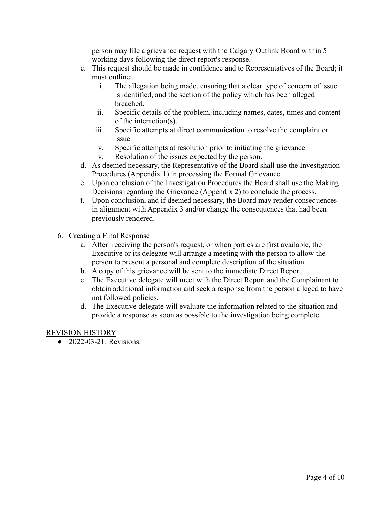person may file a grievance request with the Calgary Outlink Board within 5 working days following the direct report's response.

- c. This request should be made in confidence and to Representatives of the Board; it must outline:
	- i. The allegation being made, ensuring that a clear type of concern of issue is identified, and the section of the policy which has been alleged breached.
	- ii. Specific details of the problem, including names, dates, times and content of the interaction(s).
	- iii. Specific attempts at direct communication to resolve the complaint or issue.
	- iv. Specific attempts at resolution prior to initiating the grievance.
	- v. Resolution of the issues expected by the person.
- d. As deemed necessary, the Representative of the Board shall use the Investigation Procedures (Appendix 1) in processing the Formal Grievance.
- e. Upon conclusion of the Investigation Procedures the Board shall use the Making Decisions regarding the Grievance (Appendix 2) to conclude the process.
- f. Upon conclusion, and if deemed necessary, the Board may render consequences in alignment with Appendix 3 and/or change the consequences that had been previously rendered.
- 6. Creating a Final Response
	- a. After receiving the person's request, or when parties are first available, the Executive or its delegate will arrange a meeting with the person to allow the person to present a personal and complete description of the situation.
	- b. A copy of this grievance will be sent to the immediate Direct Report.
	- c. The Executive delegate will meet with the Direct Report and the Complainant to obtain additional information and seek a response from the person alleged to have not followed policies.
	- d. The Executive delegate will evaluate the information related to the situation and provide a response as soon as possible to the investigation being complete.

# REVISION HISTORY

● 2022-03-21: Revisions.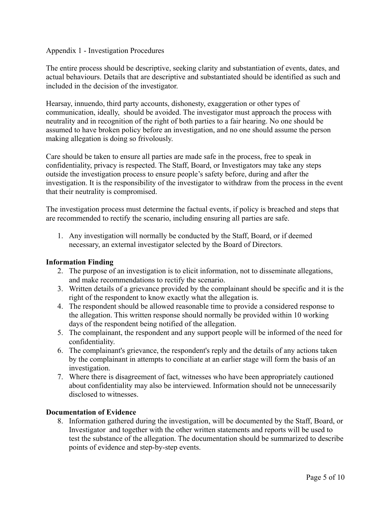### Appendix 1 - Investigation Procedures

The entire process should be descriptive, seeking clarity and substantiation of events, dates, and actual behaviours. Details that are descriptive and substantiated should be identified as such and included in the decision of the investigator.

Hearsay, innuendo, third party accounts, dishonesty, exaggeration or other types of communication, ideally, should be avoided. The investigator must approach the process with neutrality and in recognition of the right of both parties to a fair hearing. No one should be assumed to have broken policy before an investigation, and no one should assume the person making allegation is doing so frivolously.

Care should be taken to ensure all parties are made safe in the process, free to speak in confidentiality, privacy is respected. The Staff, Board, or Investigators may take any steps outside the investigation process to ensure people's safety before, during and after the investigation. It is the responsibility of the investigator to withdraw from the process in the event that their neutrality is compromised.

The investigation process must determine the factual events, if policy is breached and steps that are recommended to rectify the scenario, including ensuring all parties are safe.

1. Any investigation will normally be conducted by the Staff, Board, or if deemed necessary, an external investigator selected by the Board of Directors.

### **Information Finding**

- 2. The purpose of an investigation is to elicit information, not to disseminate allegations, and make recommendations to rectify the scenario.
- 3. Written details of a grievance provided by the complainant should be specific and it is the right of the respondent to know exactly what the allegation is.
- 4. The respondent should be allowed reasonable time to provide a considered response to the allegation. This written response should normally be provided within 10 working days of the respondent being notified of the allegation.
- 5. The complainant, the respondent and any support people will be informed of the need for confidentiality.
- 6. The complainant's grievance, the respondent's reply and the details of any actions taken by the complainant in attempts to conciliate at an earlier stage will form the basis of an investigation.
- 7. Where there is disagreement of fact, witnesses who have been appropriately cautioned about confidentiality may also be interviewed. Information should not be unnecessarily disclosed to witnesses.

### **Documentation of Evidence**

8. Information gathered during the investigation, will be documented by the Staff, Board, or Investigator and together with the other written statements and reports will be used to test the substance of the allegation. The documentation should be summarized to describe points of evidence and step-by-step events.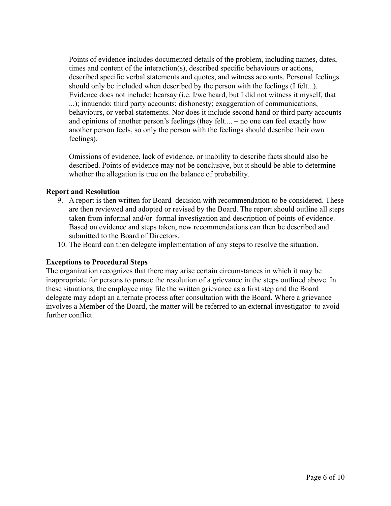Points of evidence includes documented details of the problem, including names, dates, times and content of the interaction(s), described specific behaviours or actions, described specific verbal statements and quotes, and witness accounts. Personal feelings should only be included when described by the person with the feelings (I felt...). Evidence does not include: hearsay (i.e. I/we heard, but I did not witness it myself, that ...); innuendo; third party accounts; dishonesty; exaggeration of communications, behaviours, or verbal statements. Nor does it include second hand or third party accounts and opinions of another person's feelings (they felt.... – no one can feel exactly how another person feels, so only the person with the feelings should describe their own feelings).

Omissions of evidence, lack of evidence, or inability to describe facts should also be described. Points of evidence may not be conclusive, but it should be able to determine whether the allegation is true on the balance of probability.

### **Report and Resolution**

- 9. A report is then written for Board decision with recommendation to be considered. These are then reviewed and adopted or revised by the Board. The report should outline all steps taken from informal and/or formal investigation and description of points of evidence. Based on evidence and steps taken, new recommendations can then be described and submitted to the Board of Directors.
- 10. The Board can then delegate implementation of any steps to resolve the situation.

# **Exceptions to Procedural Steps**

The organization recognizes that there may arise certain circumstances in which it may be inappropriate for persons to pursue the resolution of a grievance in the steps outlined above. In these situations, the employee may file the written grievance as a first step and the Board delegate may adopt an alternate process after consultation with the Board. Where a grievance involves a Member of the Board, the matter will be referred to an external investigator to avoid further conflict.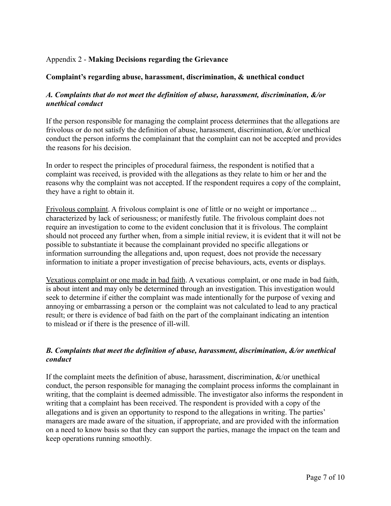## Appendix 2 - **Making Decisions regarding the Grievance**

### **Complaint's regarding abuse, harassment, discrimination, & unethical conduct**

## *A. Complaints that do not meet the definition of abuse, harassment, discrimination, &/or unethical conduct*

If the person responsible for managing the complaint process determines that the allegations are frivolous or do not satisfy the definition of abuse, harassment, discrimination, &/or unethical conduct the person informs the complainant that the complaint can not be accepted and provides the reasons for his decision.

In order to respect the principles of procedural fairness, the respondent is notified that a complaint was received, is provided with the allegations as they relate to him or her and the reasons why the complaint was not accepted. If the respondent requires a copy of the complaint, they have a right to obtain it.

Frivolous complaint. A frivolous complaint is one of little or no weight or importance ... characterized by lack of seriousness; or manifestly futile. The frivolous complaint does not require an investigation to come to the evident conclusion that it is frivolous. The complaint should not proceed any further when, from a simple initial review, it is evident that it will not be possible to substantiate it because the complainant provided no specific allegations or information surrounding the allegations and, upon request, does not provide the necessary information to initiate a proper investigation of precise behaviours, acts, events or displays.

Vexatious complaint or one made in bad faith. A vexatious complaint, or one made in bad faith, is about intent and may only be determined through an investigation. This investigation would seek to determine if either the complaint was made intentionally for the purpose of vexing and annoying or embarrassing a person or the complaint was not calculated to lead to any practical result; or there is evidence of bad faith on the part of the complainant indicating an intention to mislead or if there is the presence of ill-will.

# *B. Complaints that meet the definition of abuse, harassment, discrimination, &/or unethical conduct*

If the complaint meets the definition of abuse, harassment, discrimination,  $\&$ /or unethical conduct, the person responsible for managing the complaint process informs the complainant in writing, that the complaint is deemed admissible. The investigator also informs the respondent in writing that a complaint has been received. The respondent is provided with a copy of the allegations and is given an opportunity to respond to the allegations in writing. The parties' managers are made aware of the situation, if appropriate, and are provided with the information on a need to know basis so that they can support the parties, manage the impact on the team and keep operations running smoothly.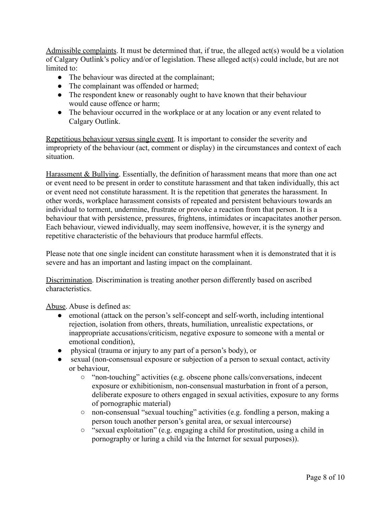Admissible complaints. It must be determined that, if true, the alleged act(s) would be a violation of Calgary Outlink's policy and/or of legislation. These alleged act(s) could include, but are not limited to:

- The behaviour was directed at the complainant;
- The complainant was offended or harmed;
- The respondent knew or reasonably ought to have known that their behaviour would cause offence or harm;
- The behaviour occurred in the workplace or at any location or any event related to Calgary Outlink.

Repetitious behaviour versus single event. It is important to consider the severity and impropriety of the behaviour (act, comment or display) in the circumstances and context of each situation.

Harassment & Bullying. Essentially, the definition of harassment means that more than one act or event need to be present in order to constitute harassment and that taken individually, this act or event need not constitute harassment. It is the repetition that generates the harassment. In other words, workplace harassment consists of repeated and persistent behaviours towards an individual to torment, undermine, frustrate or provoke a reaction from that person. It is a behaviour that with persistence, pressures, frightens, intimidates or incapacitates another person. Each behaviour, viewed individually, may seem inoffensive, however, it is the synergy and repetitive characteristic of the behaviours that produce harmful effects.

Please note that one single incident can constitute harassment when it is demonstrated that it is severe and has an important and lasting impact on the complainant.

Discrimination. Discrimination is treating another person differently based on ascribed characteristics.

Abuse. Abuse is defined as:

- emotional (attack on the person's self-concept and self-worth, including intentional rejection, isolation from others, threats, humiliation, unrealistic expectations, or inappropriate accusations/criticism, negative exposure to someone with a mental or emotional condition),
- physical (trauma or injury to any part of a person's body), or
- sexual (non-consensual exposure or subjection of a person to sexual contact, activity or behaviour,
	- "non-touching" activities (e.g. obscene phone calls/conversations, indecent exposure or exhibitionism, non-consensual masturbation in front of a person, deliberate exposure to others engaged in sexual activities, exposure to any forms of pornographic material)
	- non-consensual "sexual touching" activities (e.g. fondling a person, making a person touch another person's genital area, or sexual intercourse)
	- "sexual exploitation" (e.g. engaging a child for prostitution, using a child in pornography or luring a child via the Internet for sexual purposes)).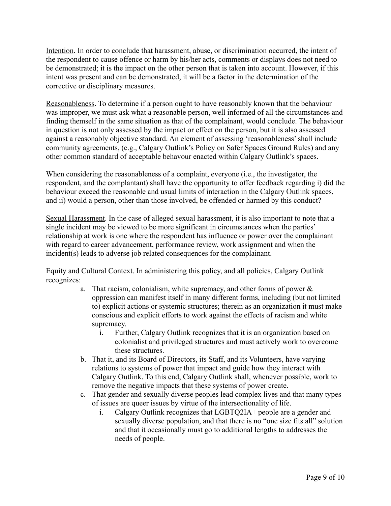Intention. In order to conclude that harassment, abuse, or discrimination occurred, the intent of the respondent to cause offence or harm by his/her acts, comments or displays does not need to be demonstrated; it is the impact on the other person that is taken into account. However, if this intent was present and can be demonstrated, it will be a factor in the determination of the corrective or disciplinary measures.

Reasonableness. To determine if a person ought to have reasonably known that the behaviour was improper, we must ask what a reasonable person, well informed of all the circumstances and finding themself in the same situation as that of the complainant, would conclude. The behaviour in question is not only assessed by the impact or effect on the person, but it is also assessed against a reasonably objective standard. An element of assessing 'reasonableness' shall include community agreements, (e.g., Calgary Outlink's Policy on Safer Spaces Ground Rules) and any other common standard of acceptable behavour enacted within Calgary Outlink's spaces.

When considering the reasonableness of a complaint, everyone (i.e., the investigator, the respondent, and the complantant) shall have the opportunity to offer feedback regarding i) did the behaviour exceed the reasonable and usual limits of interaction in the Calgary Outlink spaces, and ii) would a person, other than those involved, be offended or harmed by this conduct?

Sexual Harassment. In the case of alleged sexual harassment, it is also important to note that a single incident may be viewed to be more significant in circumstances when the parties' relationship at work is one where the respondent has influence or power over the complainant with regard to career advancement, performance review, work assignment and when the incident(s) leads to adverse job related consequences for the complainant.

Equity and Cultural Context. In administering this policy, and all policies, Calgary Outlink recognizes:

- a. That racism, colonialism, white supremacy, and other forms of power & oppression can manifest itself in many different forms, including (but not limited to) explicit actions or systemic structures; therein as an organization it must make conscious and explicit efforts to work against the effects of racism and white supremacy.
	- i. Further, Calgary Outlink recognizes that it is an organization based on colonialist and privileged structures and must actively work to overcome these structures.
- b. That it, and its Board of Directors, its Staff, and its Volunteers, have varying relations to systems of power that impact and guide how they interact with Calgary Outlink. To this end, Calgary Outlink shall, whenever possible, work to remove the negative impacts that these systems of power create.
- c. That gender and sexually diverse peoples lead complex lives and that many types of issues are queer issues by virtue of the intersectionality of life.
	- i. Calgary Outlink recognizes that LGBTQ2IA+ people are a gender and sexually diverse population, and that there is no "one size fits all" solution and that it occasionally must go to additional lengths to addresses the needs of people.